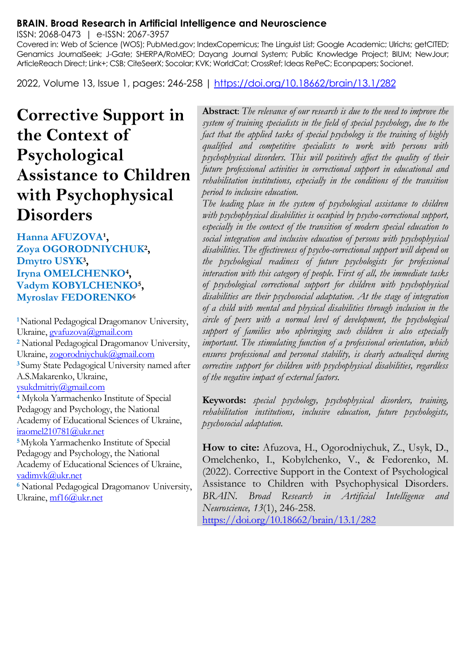#### **BRAIN. Broad Research in Artificial Intelligence and Neuroscience**

ISSN: 2068-0473 | e-ISSN: 2067-3957

Covered in: Web of Science (WOS); PubMed.gov; IndexCopernicus; The Linguist List; Google Academic; Ulrichs; getCITED; Genamics JournalSeek; J-Gate; SHERPA/RoMEO; Dayang Journal System; Public Knowledge Project; BIUM; NewJour; ArticleReach Direct; Link+; CSB; CiteSeerX; Socolar; KVK; WorldCat; CrossRef; Ideas RePeC; Econpapers; Socionet.

2022, Volume 13, Issue 1, pages: 246-258 |<https://doi.org/10.18662/brain/13.1/282>

# **Corrective Support in the Context of Psychological Assistance to Children with Psychophysical Disorders**

#### Hanna AFUZOVA<sup>1</sup>, **Zoya OGORODNIYCHUK<sup>2</sup> , Dmytro USYK<sup>3</sup> , Iryna OMELCHENKO<sup>4</sup> , Vadym KOBYLCHENKO<sup>5</sup> , Myroslav FEDORENKO<sup>6</sup>**

**<sup>1</sup>**National Pedagogical Dragomanov University, Ukraine, gvafuzova@gmail.com **<sup>2</sup>** National Pedagogical Dragomanov University, Ukraine[, zogorodniychuk@gmail.com](mailto:zogorodniychuk@gmail.com)  **<sup>3</sup>**Sumy State Pedagogical University named after A.S.Makarenko, Ukraine, [ysukdmitriy@gmail.com](mailto:ysukdmitriy@gmail.com)  **<sup>4</sup>** Mykola Yarmachenko Institute of Special Pedagogy and Psychology, the National Academy of Educational Sciences of Ukraine, [iraomel210781@ukr.net](mailto:iraomel210781@ukr.net)  **<sup>5</sup>**Mykola Yarmachenko Institute of Special Pedagogy and Psychology, the National Academy of Educational Sciences of Ukraine, [vadimvk@ukr.net](mailto:vadimvk@ukr.net)

**<sup>6</sup>**National Pedagogical Dragomanov University, Ukraine[, mf16@ukr.net](mailto:mf16@ukr.net)

**Abstract**: *The relevance of our research is due to the need to improve the system of training specialists in the field of special psychology, due to the fact that the applied tasks of special psychology is the training of highly qualified and competitive specialists to work with persons with psychophysical disorders. This will positively affect the quality of their future professional activities in correctional support in educational and rehabilitation institutions, especially in the conditions of the transition period to inclusive education.*

*The leading place in the system of psychological assistance to children with psychophysical disabilities is occupied by psycho-correctional support, especially in the context of the transition of modern special education to social integration and inclusive education of persons with psychophysical disabilities. The effectiveness of psycho-correctional support will depend on the psychological readiness of future psychologists for professional interaction with this category of people. First of all, the immediate tasks of psychological correctional support for children with psychophysical disabilities are their psychosocial adaptation. At the stage of integration of a child with mental and physical disabilities through inclusion in the circle of peers with a normal level of development, the psychological support of families who upbringing such children is also especially important. The stimulating function of a professional orientation, which ensures professional and personal stability, is clearly actualized during corrective support for children with psychophysical disabilities, regardless of the negative impact of external factors.*

**Keywords:** *special psychology, psychophysical disorders, training, rehabilitation institutions, inclusive education, future psychologists, psychosocial adaptation.*

**How to cite:** Afuzova, H., Ogorodniychuk, Z., Usyk, D., Omelchenko, I., Kobylchenko, V., & Fedorenko, M. (2022). Corrective Support in the Context of Psychological Assistance to Children with Psychophysical Disorders. *BRAIN. Broad Research in Artificial Intelligence and Neuroscience, 13*(1), 246-258.

<https://doi.org/10.18662/brain/13.1/282>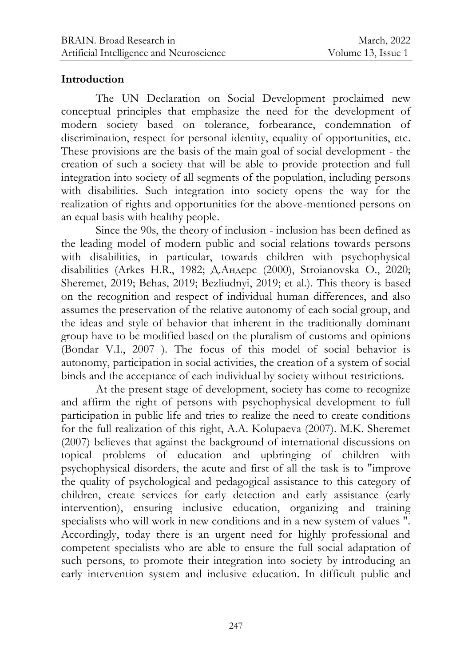### **Introduction**

The UN Declaration on Social Development proclaimed new conceptual principles that emphasize the need for the development of modern society based on tolerance, forbearance, condemnation of discrimination, respect for personal identity, equality of opportunities, etc. These provisions are the basis of the main goal of social development - the creation of such a society that will be able to provide protection and full integration into society of all segments of the population, including persons with disabilities. Such integration into society opens the way for the realization of rights and opportunities for the above-mentioned persons on an equal basis with healthy people.

Since the 90s, the theory of inclusion - inclusion has been defined as the leading model of modern public and social relations towards persons with disabilities, in particular, towards children with psychophysical disabilities (Arkes H.R., 1982; Д.Андерс (2000), Stroianovska O., 2020; Sheremet, 2019; Behas, 2019; Bezliudnyi, 2019; et al.). This theory is based on the recognition and respect of individual human differences, and also assumes the preservation of the relative autonomy of each social group, and the ideas and style of behavior that inherent in the traditionally dominant group have to be modified based on the pluralism of customs and opinions (Bondar V.I., 2007 ). The focus of this model of social behavior is autonomy, participation in social activities, the creation of a system of social binds and the acceptance of each individual by society without restrictions.

At the present stage of development, society has come to recognize and affirm the right of persons with psychophysical development to full participation in public life and tries to realize the need to create conditions for the full realization of this right, A.A. Kolupaeva (2007). M.K. Sheremet (2007) believes that against the background of international discussions on topical problems of education and upbringing of children with psychophysical disorders, the acute and first of all the task is to "improve the quality of psychological and pedagogical assistance to this category of children, create services for early detection and early assistance (early intervention), ensuring inclusive education, organizing and training specialists who will work in new conditions and in a new system of values ". Accordingly, today there is an urgent need for highly professional and competent specialists who are able to ensure the full social adaptation of such persons, to promote their integration into society by introducing an early intervention system and inclusive education. In difficult public and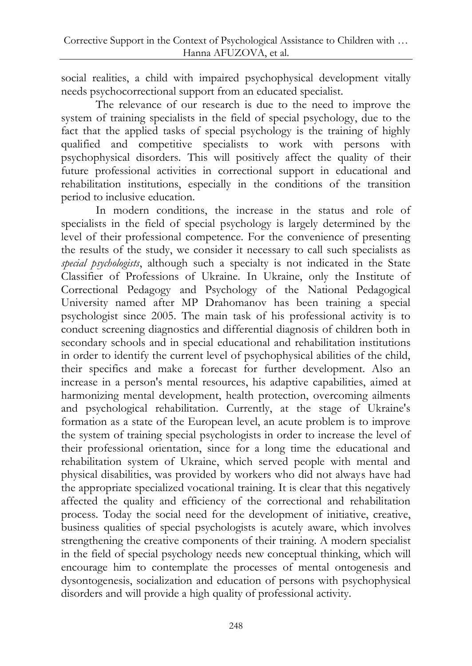social realities, a child with impaired psychophysical development vitally needs psychocorrectional support from an educated specialist.

The relevance of our research is due to the need to improve the system of training specialists in the field of special psychology, due to the fact that the applied tasks of special psychology is the training of highly qualified and competitive specialists to work with persons with psychophysical disorders. This will positively affect the quality of their future professional activities in correctional support in educational and rehabilitation institutions, especially in the conditions of the transition period to inclusive education.

In modern conditions, the increase in the status and role of specialists in the field of special psychology is largely determined by the level of their professional competence. For the convenience of presenting the results of the study, we consider it necessary to call such specialists as *special psychologists*, although such a specialty is not indicated in the State Classifier of Professions of Ukraine. In Ukraine, only the Institute of Correctional Pedagogy and Psychology of the National Pedagogical University named after MP Drahomanov has been training a special psychologist since 2005. The main task of his professional activity is to conduct screening diagnostics and differential diagnosis of children both in secondary schools and in special educational and rehabilitation institutions in order to identify the current level of psychophysical abilities of the child, their specifics and make a forecast for further development. Also an increase in a person's mental resources, his adaptive capabilities, aimed at harmonizing mental development, health protection, overcoming ailments and psychological rehabilitation. Currently, at the stage of Ukraine's formation as a state of the European level, an acute problem is to improve the system of training special psychologists in order to increase the level of their professional orientation, since for a long time the educational and rehabilitation system of Ukraine, which served people with mental and physical disabilities, was provided by workers who did not always have had the appropriate specialized vocational training. It is clear that this negatively affected the quality and efficiency of the correctional and rehabilitation process. Today the social need for the development of initiative, creative, business qualities of special psychologists is acutely aware, which involves strengthening the creative components of their training. A modern specialist in the field of special psychology needs new conceptual thinking, which will encourage him to contemplate the processes of mental ontogenesis and dysontogenesis, socialization and education of persons with psychophysical disorders and will provide a high quality of professional activity.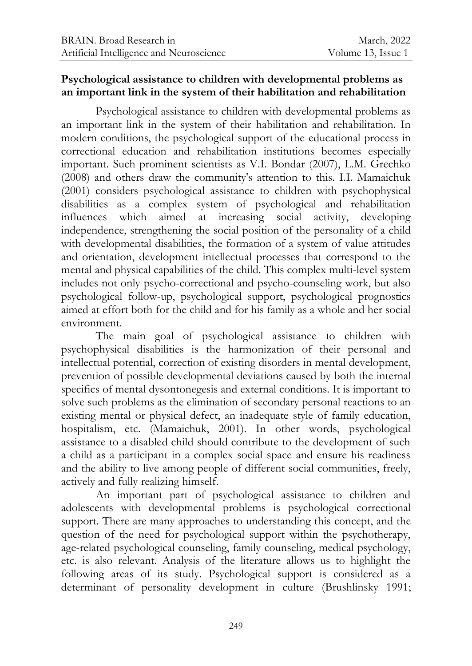#### **Psychological assistance to children with developmental problems as an important link in the system of their habilitation and rehabilitation**

Psychological assistance to children with developmental problems as an important link in the system of their habilitation and rehabilitation. In modern conditions, the psychological support of the educational process in correctional education and rehabilitation institutions becomes especially important. Such prominent scientists as V.I. Bondar (2007), L.M. Grechko (2008) and others draw the community's attention to this. I.I. Mamaichuk (2001) considers psychological assistance to children with psychophysical disabilities as a complex system of psychological and rehabilitation influences which aimed at increasing social activity, developing independence, strengthening the social position of the personality of a child with developmental disabilities, the formation of a system of value attitudes and orientation, development intellectual processes that correspond to the mental and physical capabilities of the child. This complex multi-level system includes not only psycho-correctional and psycho-counseling work, but also psychological follow-up, psychological support, psychological prognostics aimed at effort both for the child and for his family as a whole and her social environment.

The main goal of psychological assistance to children with psychophysical disabilities is the harmonization of their personal and intellectual potential, correction of existing disorders in mental development, prevention of possible developmental deviations caused by both the internal specifics of mental dysontonegesis and external conditions. It is important to solve such problems as the elimination of secondary personal reactions to an existing mental or physical defect, an inadequate style of family education, hospitalism, etc. (Mamaichuk, 2001). In other words, psychological assistance to a disabled child should contribute to the development of such a child as a participant in a complex social space and ensure his readiness and the ability to live among people of different social communities, freely, actively and fully realizing himself.

An important part of psychological assistance to children and adolescents with developmental problems is psychological correctional support. There are many approaches to understanding this concept, and the question of the need for psychological support within the psychotherapy, age-related psychological counseling, family counseling, medical psychology, etc. is also relevant. Analysis of the literature allows us to highlight the following areas of its study. Psychological support is considered as a determinant of personality development in culture (Brushlinsky 1991;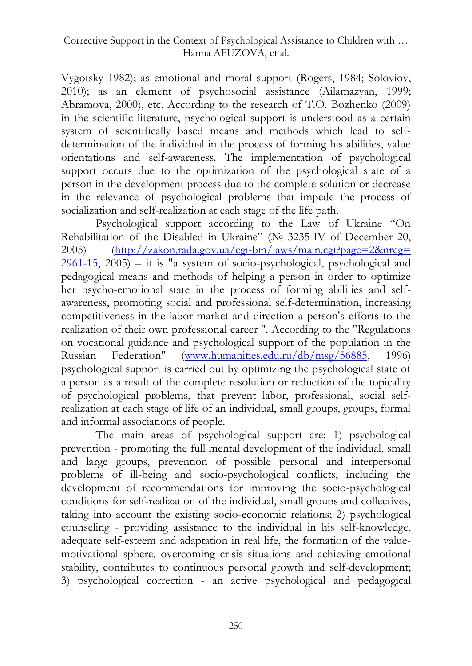Vygotsky 1982); as emotional and moral support (Rogers, 1984; Soloviov, 2010); as an element of psychosocial assistance (Ailamazyan, 1999; Abramova, 2000), etc. According to the research of T.O. Bozhenko (2009) in the scientific literature, psychological support is understood as a certain system of scientifically based means and methods which lead to selfdetermination of the individual in the process of forming his abilities, value orientations and self-awareness. The implementation of psychological support occurs due to the optimization of the psychological state of a person in the development process due to the complete solution or decrease in the relevance of psychological problems that impede the process of socialization and self-realization at each stage of the life path.

Psychological support according to the Law of Ukraine "On Rehabilitation of the Disabled in Ukraine" (№ 3235-IV of December 20, 2005) [\(http://zakon.rada.gov.ua/cgi-bin/laws/main.cgi?page=2&nreg=](http://zakon.rada.gov.ua/cgi-bin/laws/main.cgi?page=2&nreg=%0b2961-15)  $2961-15$ ,  $2005$ ) – it is "a system of socio-psychological, psychological and pedagogical means and methods of helping a person in order to optimize her psycho-emotional state in the process of forming abilities and selfawareness, promoting social and professional self-determination, increasing competitiveness in the labor market and direction a person's efforts to the realization of their own professional career ". According to the "Regulations on vocational guidance and psychological support of the population in the Russian Federation" [\(www.humanities.edu.ru/db/msg/56885,](http://www.humanities.edu.ru/db/msg/56885) 1996) psychological support is carried out by optimizing the psychological state of a person as a result of the complete resolution or reduction of the topicality of psychological problems, that prevent labor, professional, social selfrealization at each stage of life of an individual, small groups, groups, formal and informal associations of people.

The main areas of psychological support are: 1) psychological prevention - promoting the full mental development of the individual, small and large groups, prevention of possible personal and interpersonal problems of ill-being and socio-psychological conflicts, including the development of recommendations for improving the socio-psychological conditions for self-realization of the individual, small groups and collectives, taking into account the existing socio-economic relations; 2) psychological counseling - providing assistance to the individual in his self-knowledge, adequate self-esteem and adaptation in real life, the formation of the valuemotivational sphere, overcoming crisis situations and achieving emotional stability, contributes to continuous personal growth and self-development; 3) psychological correction - an active psychological and pedagogical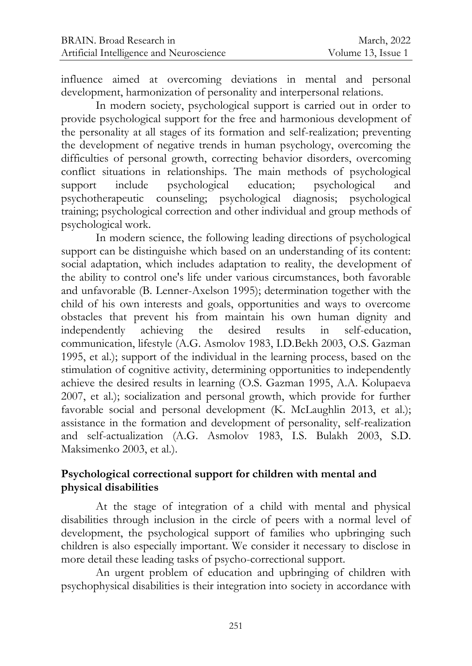influence aimed at overcoming deviations in mental and personal development, harmonization of personality and interpersonal relations.

In modern society, psychological support is carried out in order to provide psychological support for the free and harmonious development of the personality at all stages of its formation and self-realization; preventing the development of negative trends in human psychology, overcoming the difficulties of personal growth, correcting behavior disorders, overcoming conflict situations in relationships. The main methods of psychological support include psychological education; psychological and psychotherapeutic counseling; psychological diagnosis; psychological training; psychological correction and other individual and group methods of psychological work.

In modern science, the following leading directions of psychological support can be distinguishe which based on an understanding of its content: social adaptation, which includes adaptation to reality, the development of the ability to control one's life under various circumstances, both favorable and unfavorable (B. Lenner-Axelson 1995); determination together with the child of his own interests and goals, opportunities and ways to overcome obstacles that prevent his from maintain his own human dignity and independently achieving the desired results in self-education, communication, lifestyle (A.G. Asmolov 1983, I.D.Bekh 2003, O.S. Gazman 1995, et al.); support of the individual in the learning process, based on the stimulation of cognitive activity, determining opportunities to independently achieve the desired results in learning (O.S. Gazman 1995, A.A. Kolupaeva 2007, et al.); socialization and personal growth, which provide for further favorable social and personal development (K. McLaughlin 2013, et al.); assistance in the formation and development of personality, self-realization and self-actualization (A.G. Asmolov 1983, I.S. Bulakh 2003, S.D. Maksimenko 2003, et al.).

# **Psychological correctional support for children with mental and physical disabilities**

At the stage of integration of a child with mental and physical disabilities through inclusion in the circle of peers with a normal level of development, the psychological support of families who upbringing such children is also especially important. We consider it necessary to disclose in more detail these leading tasks of psycho-correctional support.

An urgent problem of education and upbringing of children with psychophysical disabilities is their integration into society in accordance with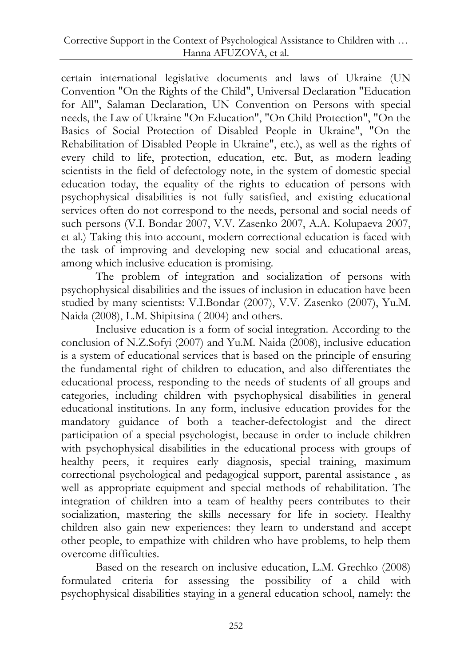certain international legislative documents and laws of Ukraine (UN Convention "On the Rights of the Child", Universal Declaration "Education for All", Salaman Declaration, UN Convention on Persons with special needs, the Law of Ukraine "On Education", "On Child Protection", "On the Basics of Social Protection of Disabled People in Ukraine", "On the Rehabilitation of Disabled People in Ukraine", etc.), as well as the rights of every child to life, protection, education, etc. But, as modern leading scientists in the field of defectology note, in the system of domestic special education today, the equality of the rights to education of persons with psychophysical disabilities is not fully satisfied, and existing educational services often do not correspond to the needs, personal and social needs of such persons (V.I. Bondar 2007, V.V. Zasenko 2007, A.A. Kolupaeva 2007, et al.) Taking this into account, modern correctional education is faced with the task of improving and developing new social and educational areas, among which inclusive education is promising.

The problem of integration and socialization of persons with psychophysical disabilities and the issues of inclusion in education have been studied by many scientists: V.I.Bondar (2007), V.V. Zasenko (2007), Yu.M. Naida (2008), L.M. Shipitsina ( 2004) and others.

Inclusive education is a form of social integration. According to the conclusion of N.Z.Sofyi (2007) and Yu.M. Naida (2008), inclusive education is a system of educational services that is based on the principle of ensuring the fundamental right of children to education, and also differentiates the educational process, responding to the needs of students of all groups and categories, including children with psychophysical disabilities in general educational institutions. In any form, inclusive education provides for the mandatory guidance of both a teacher-defectologist and the direct participation of a special psychologist, because in order to include children with psychophysical disabilities in the educational process with groups of healthy peers, it requires early diagnosis, special training, maximum correctional psychological and pedagogical support, parental assistance , as well as appropriate equipment and special methods of rehabilitation. The integration of children into a team of healthy peers contributes to their socialization, mastering the skills necessary for life in society. Healthy children also gain new experiences: they learn to understand and accept other people, to empathize with children who have problems, to help them overcome difficulties.

Based on the research on inclusive education, L.M. Grechko (2008) formulated criteria for assessing the possibility of a child with psychophysical disabilities staying in a general education school, namely: the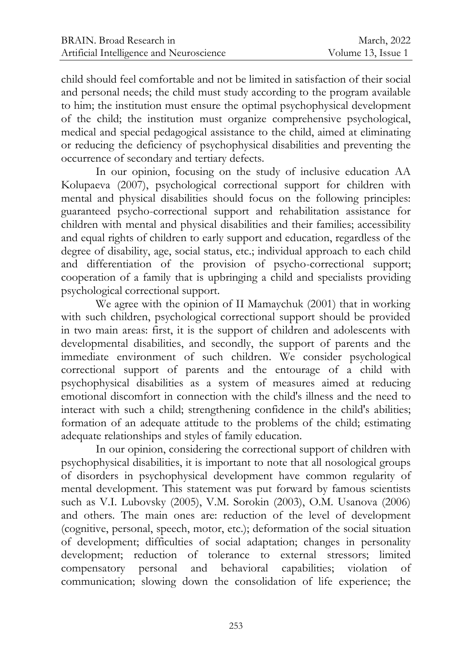child should feel comfortable and not be limited in satisfaction of their social and personal needs; the child must study according to the program available to him; the institution must ensure the optimal psychophysical development of the child; the institution must organize comprehensive psychological, medical and special pedagogical assistance to the child, aimed at eliminating or reducing the deficiency of psychophysical disabilities and preventing the occurrence of secondary and tertiary defects.

In our opinion, focusing on the study of inclusive education AA Kolupaeva (2007), psychological correctional support for children with mental and physical disabilities should focus on the following principles: guaranteed psycho-correctional support and rehabilitation assistance for children with mental and physical disabilities and their families; accessibility and equal rights of children to early support and education, regardless of the degree of disability, age, social status, etc.; individual approach to each child and differentiation of the provision of psycho-correctional support; cooperation of a family that is upbringing a child and specialists providing psychological correctional support.

We agree with the opinion of II Mamaychuk (2001) that in working with such children, psychological correctional support should be provided in two main areas: first, it is the support of children and adolescents with developmental disabilities, and secondly, the support of parents and the immediate environment of such children. We consider psychological correctional support of parents and the entourage of a child with psychophysical disabilities as a system of measures aimed at reducing emotional discomfort in connection with the child's illness and the need to interact with such a child; strengthening confidence in the child's abilities; formation of an adequate attitude to the problems of the child; estimating adequate relationships and styles of family education.

In our opinion, considering the correctional support of children with psychophysical disabilities, it is important to note that all nosological groups of disorders in psychophysical development have common regularity of mental development. This statement was put forward by famous scientists such as V.I. Lubovsky (2005), V.M. Sorokin (2003), O.M. Usanova (2006) and others. The main ones are: reduction of the level of development (cognitive, personal, speech, motor, etc.); deformation of the social situation of development; difficulties of social adaptation; changes in personality development; reduction of tolerance to external stressors; limited compensatory personal and behavioral capabilities; violation of communication; slowing down the consolidation of life experience; the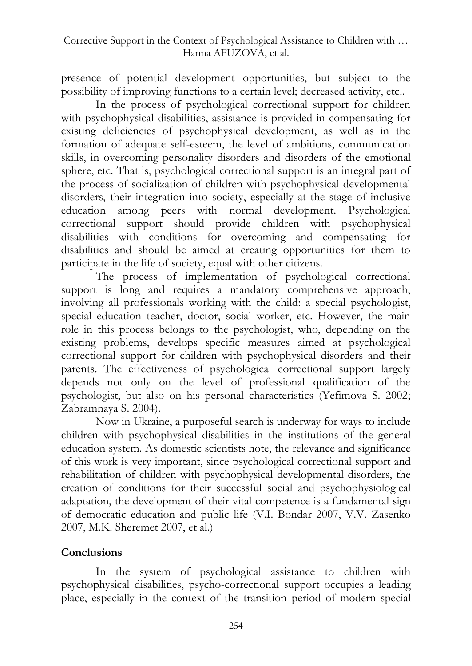presence of potential development opportunities, but subject to the possibility of improving functions to a certain level; decreased activity, etc..

In the process of psychological correctional support for children with psychophysical disabilities, assistance is provided in compensating for existing deficiencies of psychophysical development, as well as in the formation of adequate self-esteem, the level of ambitions, communication skills, in overcoming personality disorders and disorders of the emotional sphere, etc. That is, psychological correctional support is an integral part of the process of socialization of children with psychophysical developmental disorders, their integration into society, especially at the stage of inclusive education among peers with normal development. Psychological correctional support should provide children with psychophysical disabilities with conditions for overcoming and compensating for disabilities and should be aimed at creating opportunities for them to participate in the life of society, equal with other citizens.

The process of implementation of psychological correctional support is long and requires a mandatory comprehensive approach, involving all professionals working with the child: a special psychologist, special education teacher, doctor, social worker, etc. However, the main role in this process belongs to the psychologist, who, depending on the existing problems, develops specific measures aimed at psychological correctional support for children with psychophysical disorders and their parents. The effectiveness of psychological correctional support largely depends not only on the level of professional qualification of the psychologist, but also on his personal characteristics (Yefimova S. 2002; Zabramnaya S. 2004).

Now in Ukraine, a purposeful search is underway for ways to include children with psychophysical disabilities in the institutions of the general education system. As domestic scientists note, the relevance and significance of this work is very important, since psychological correctional support and rehabilitation of children with psychophysical developmental disorders, the creation of conditions for their successful social and psychophysiological adaptation, the development of their vital competence is a fundamental sign of democratic education and public life (V.I. Bondar 2007, V.V. Zasenko 2007, M.K. Sheremet 2007, et al.)

# **Conclusions**

In the system of psychological assistance to children with psychophysical disabilities, psycho-correctional support occupies a leading place, especially in the context of the transition period of modern special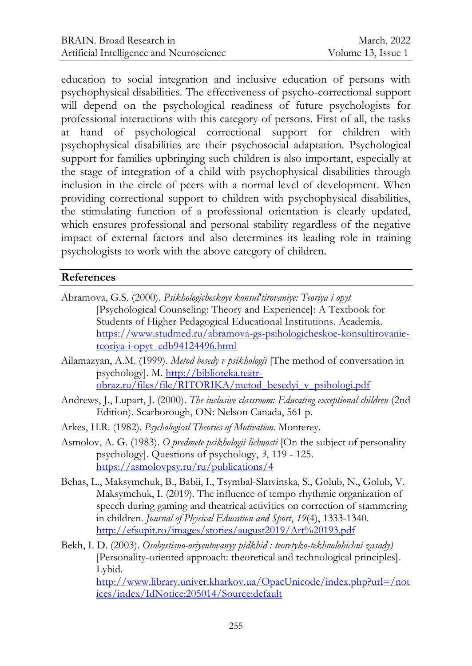education to social integration and inclusive education of persons with psychophysical disabilities. The effectiveness of psycho-correctional support will depend on the psychological readiness of future psychologists for professional interactions with this category of persons. First of all, the tasks at hand of psychological correctional support for children with psychophysical disabilities are their psychosocial adaptation. Psychological support for families upbringing such children is also important, especially at the stage of integration of a child with psychophysical disabilities through inclusion in the circle of peers with a normal level of development. When providing correctional support to children with psychophysical disabilities, the stimulating function of a professional orientation is clearly updated, which ensures professional and personal stability regardless of the negative impact of external factors and also determines its leading role in training psychologists to work with the above category of children.

# **References**

- Abramova, G.S. (2000). *Psikhologicheskoye konsul'tirovaniye: Teoriya i opyt*  [Psychological Counseling: Theory and Experience]: A Textbook for Students of Higher Pedagogical Educational Institutions. Academia. [https://www.studmed.ru/abramova-gs-psihologicheskoe-konsultirovanie](https://www.studmed.ru/abramova-gs-psihologicheskoe-konsultirovanie-teoriya-i-opyt_edb94124496.html)[teoriya-i-opyt\\_edb94124496.html](https://www.studmed.ru/abramova-gs-psihologicheskoe-konsultirovanie-teoriya-i-opyt_edb94124496.html)
- Ailamazyan, A.M. (1999). *Metod besedy v psikhologii* [The method of conversation in psychology]. M. [http://biblioteka.teatr](http://biblioteka.teatr-obraz.ru/files/file/RITORIKA/metod_besedyi_v_psihologi.pdf)[obraz.ru/files/file/RITORIKA/metod\\_besedyi\\_v\\_psihologi.pdf](http://biblioteka.teatr-obraz.ru/files/file/RITORIKA/metod_besedyi_v_psihologi.pdf)
- Andrews, J., Lupart, J. (2000). *The inclusive classroom: Educating exceptional children* (2nd Edition). Scarborough, ON: Nelson Canada, 561 p.
- Arkes, H.R. (1982). *Psychological Theories of Motivation.* Monterey.
- Asmolov, A. G. (1983). *O predmete psikhologii lichnosti* [On the subject of personality psychology]. Questions of psychology, *3*, 119 - 125. <https://asmolovpsy.ru/ru/publications/4>
- Behas, L., Maksymchuk, B., Babii, I., Tsymbal-Slatvinska, S., Golub, N., Golub, V. Maksymchuk, I. (2019). The influence of tempo rhythmic organization of speech during gaming and theatrical activities on correction of stammering in children. *Journal of Physical Education and Sport*, *19*(4), 1333-1340. <http://efsupit.ro/images/stories/august2019/Art%20193.pdf>
- Bekh, I. D. (2003). *Osobystisno-oriyentovanyy pidkhid : teoretyko-tekhnolohichni zasady)*  [Personality-oriented approach: theoretical and technological principles]. Lybid.

[http://www.library.univer.kharkov.ua/OpacUnicode/index.php?url=/not](http://www.library.univer.kharkov.ua/OpacUnicode/index.php?url=/notices/index/IdNotice:205014/Source:default) [ices/index/IdNotice:205014/Source:default](http://www.library.univer.kharkov.ua/OpacUnicode/index.php?url=/notices/index/IdNotice:205014/Source:default)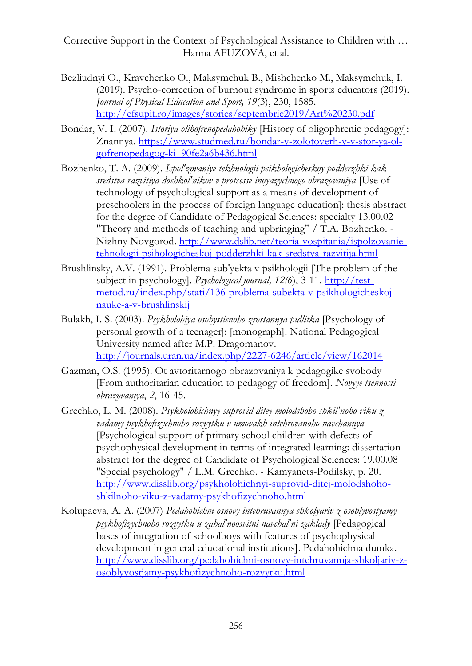- Bezliudnyi O., Kravchenko O., Maksymchuk B., Mishchenko M., Maksymchuk, I. (2019). Psycho-correction of burnout syndrome in sports educators (2019). *Journal of Physical Education and Sport, 19*(3), 230, 1585. <http://efsupit.ro/images/stories/septembrie2019/Art%20230.pdf>
- Bondar, V. I. (2007). *Istoriya olihofrenopedahohiky* [History of oligophrenic pedagogy]: Znannya. [https://www.studmed.ru/bondar-v-zolotoverh-v-v-stor-ya-ol](https://www.studmed.ru/bondar-v-zolotoverh-v-v-stor-ya-ol-gofrenopedagog-ki_90fe2a6b436.html)[gofrenopedagog-ki\\_90fe2a6b436.html](https://www.studmed.ru/bondar-v-zolotoverh-v-v-stor-ya-ol-gofrenopedagog-ki_90fe2a6b436.html)
- Bozhenko, T. A. (2009). *Ispol'zovaniye tekhnologii psikhologicheskoy podderzhki kak sredstva razvitiya doshkol'nikov v protsesse inoyazychnogo obrazovaniya* [Use of technology of psychological support as a means of development of preschoolers in the process of foreign language education]: thesis abstract for the degree of Candidate of Pedagogical Sciences: specialty 13.00.02 "Theory and methods of teaching and upbringing" / T.A. Bozhenko. - Nizhny Novgorod. [http://www.dslib.net/teoria-vospitania/ispolzovanie](http://www.dslib.net/teoria-vospitania/ispolzovanie-tehnologii-psihologicheskoj-podderzhki-kak-sredstva-razvitija.html)[tehnologii-psihologicheskoj-podderzhki-kak-sredstva-razvitija.html](http://www.dslib.net/teoria-vospitania/ispolzovanie-tehnologii-psihologicheskoj-podderzhki-kak-sredstva-razvitija.html)
- Brushlinsky, A.V. (1991). Problema sub'yekta v psikhologii [The problem of the subject in psychology]. *Psychological journal, 12(6*), 3-11. [http://test](http://test-metod.ru/index.php/stati/136-problema-subekta-v-psikhologicheskoj-nauke-a-v-brushlinskij)[metod.ru/index.php/stati/136-problema-subekta-v-psikhologicheskoj](http://test-metod.ru/index.php/stati/136-problema-subekta-v-psikhologicheskoj-nauke-a-v-brushlinskij)[nauke-a-v-brushlinskij](http://test-metod.ru/index.php/stati/136-problema-subekta-v-psikhologicheskoj-nauke-a-v-brushlinskij)
- Bulakh, I. S. (2003). *Psykholohiya osobystisnoho zrostannya pidlitka* [Psychology of personal growth of a teenager]: [monograph]. National Pedagogical University named after M.P. Dragomanov. <http://journals.uran.ua/index.php/2227-6246/article/view/162014>
- Gazman, O.S. (1995). Ot avtoritarnogo obrazovaniya k pedagogike svobody [From authoritarian education to pedagogy of freedom]. *Novyye tsennosti obrazovaniya*, *2*, 16-45.
- Grechko, L. M. (2008). *Psykholohichnyy suprovid ditey molodshoho shkilʹnoho viku z vadamy psykhofizychnoho rozvytku v umovakh intehrovanoho navchannya*  [Psychological support of primary school children with defects of psychophysical development in terms of integrated learning: dissertation abstract for the degree of Сandidate of Psychological Sciences: 19.00.08 "Special psychology" / L.M. Grechko. - Kamyanets-Podilsky, p. 20. [http://www.disslib.org/psykholohichnyi-suprovid-ditej-molodshoho](http://www.disslib.org/psykholohichnyi-suprovid-ditej-molodshoho-shkilnoho-viku-z-vadamy-psykhofizychnoho.html)[shkilnoho-viku-z-vadamy-psykhofizychnoho.html](http://www.disslib.org/psykholohichnyi-suprovid-ditej-molodshoho-shkilnoho-viku-z-vadamy-psykhofizychnoho.html)
- Kolupaeva, A. A. (2007) *Pedahohichni osnovy intehruvannya shkolyariv z osoblyvostyamy psykhofizychnoho rozvytku u zahalʹnoosvitni navchalʹni zaklady* [Pedagogical bases of integration of schoolboys with features of psychophysical development in general educational institutions]. Pedahohichna dumka. [http://www.disslib.org/pedahohichni-osnovy-intehruvannja-shkoljariv-z](http://www.disslib.org/pedahohichni-osnovy-intehruvannja-shkoljariv-z-osoblyvostjamy-psykhofizychnoho-rozvytku.html)[osoblyvostjamy-psykhofizychnoho-rozvytku.html](http://www.disslib.org/pedahohichni-osnovy-intehruvannja-shkoljariv-z-osoblyvostjamy-psykhofizychnoho-rozvytku.html)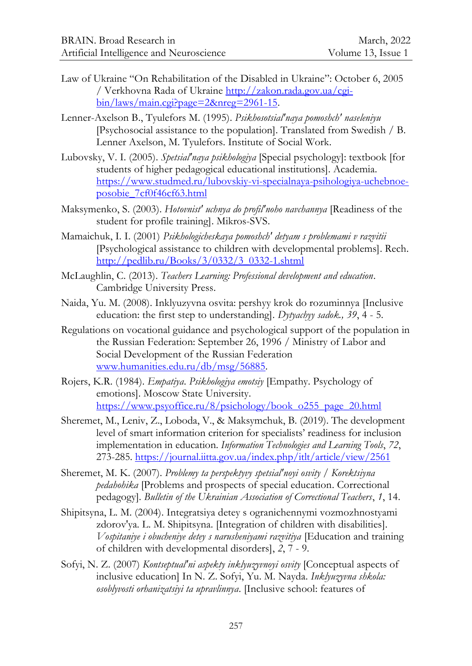- Law of Ukraine "On Rehabilitation of the Disabled in Ukraine": October 6, 2005 / Verkhovna Rada of Ukraine [http://zakon.rada.gov.ua/cgi](http://zakon.rada.gov.ua/cgi-bin/laws/main.cgi?page=2&nreg=2961-15)[bin/laws/main.cgi?page=2&nreg=2961-15.](http://zakon.rada.gov.ua/cgi-bin/laws/main.cgi?page=2&nreg=2961-15)
- Lenner-Axelson B., Tyulefors M. (1995). *Psikhosotsial'naya pomoshch' naseleniyu*  [Psychosocial assistance to the population]. Translated from Swedish / B. Lenner Axelson, M. Tyulefors. Institute of Social Work.
- Lubovsky, V. I. (2005). *Spetsial'naya psikhologiya* [Special psychology]: textbook [for students of higher pedagogical educational institutions]. Academia. [https://www.studmed.ru/lubovskiy-vi-specialnaya-psihologiya-uchebnoe](https://www.studmed.ru/lubovskiy-vi-specialnaya-psihologiya-uchebnoe-posobie_7cf0f46cf63.html)[posobie\\_7cf0f46cf63.html](https://www.studmed.ru/lubovskiy-vi-specialnaya-psihologiya-uchebnoe-posobie_7cf0f46cf63.html)
- Maksymenko, S. (2003). *Hotovnistʹ uchnya do profilʹnoho navchannya* [Readiness of the student for profile training]. Mikros-SVS.
- Mamaichuk, I. I. (2001) *Psikhologicheskaya pomoshch' detyam s problemami v razvitii* [Psychological assistance to children with developmental problems]. Rech. [http://pedlib.ru/Books/3/0332/3\\_0332-1.shtml](http://pedlib.ru/Books/3/0332/3_0332-1.shtml)
- McLaughlin, C. (2013). *Teachers Learning: Professional development and education*. Cambridge University Press.
- Naida, Yu. M. (2008). Inklyuzyvna osvita: pershyy krok do rozuminnya [Inclusive education: the first step to understanding]. *Dytyachyy sadok., 39*, 4 - 5.
- Regulations on vocational guidance and psychological support of the population in the Russian Federation: September 26, 1996 / Ministry of Labor and Social Development of the Russian Federation [www.humanities.edu.ru/db/msg/56885.](http://www.humanities.edu.ru/db/msg/56885)
- Rojers, K.R. (1984). *Empatiya*. *Psikhologiya emotsiy* [Empathy. Psychology of emotions]. Moscow State University. [https://www.psyoffice.ru/8/psichology/book\\_o255\\_page\\_20.html](https://www.psyoffice.ru/8/psichology/book_o255_page_20.html)
- Sheremet, M., Leniv, Z., Loboda, V., & Maksymchuk, B. (2019). The development level of smart information criterion for specialists' readiness for inclusion implementation in education. *Information Technologies and Learning Tools*, *72*, 273-285.<https://journal.iitta.gov.ua/index.php/itlt/article/view/2561>
- Sheremet, M. K. (2007). *Problemy ta perspektyvy spetsialʹnoyi osvity* / *Korektsiyna pedahohika* [Problems and prospects of special education. Correctional pedagogy]. *Bulletin of the Ukrainian Association of Correctional Teachers*, *1*, 14.
- Shipitsyna, L. M. (2004). Integratsiya detey s ogranichennymi vozmozhnostyami zdorov'ya*.* L. M. Shipitsyna. [Integration of children with disabilities]. *Vospitaniye i obucheniye detey s narusheniyami razvitiya* [Education and training of children with developmental disorders], *2*, 7 - 9.
- Sofyi, N. Z. (2007) *Kontseptualʹni aspekty inklyuzyvnoyi osvity* [Conceptual aspects of inclusive education] In N. Z. Sofyi, Yu. M. Nayda. *Inklyuzyvna shkola: osoblyvosti orhanizatsiyi ta upravlinnya*. [Inclusive school: features of